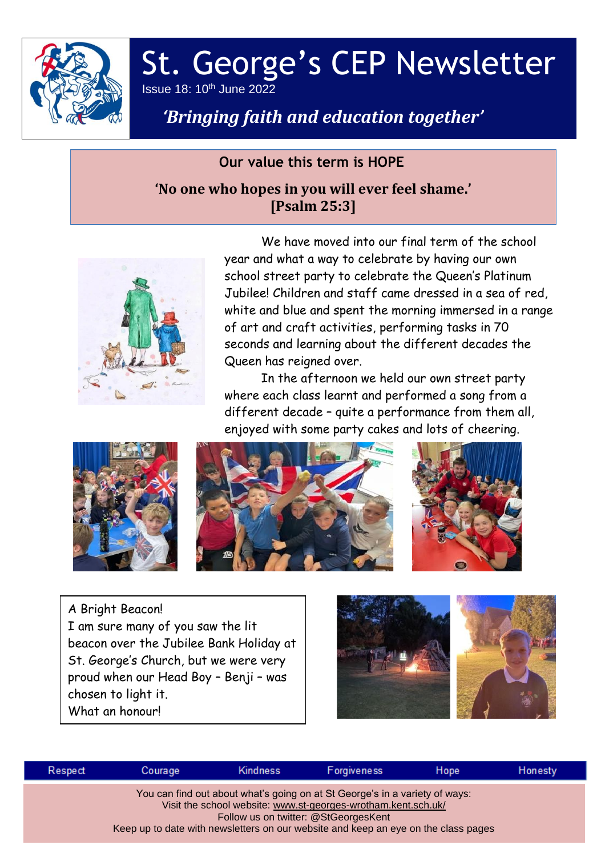

## St. George's CEP Newsletter Issue 18: 10th June 2022

# *'Bringing faith and education together'*

#### **Our value this term is HOPE**

### **'No one who hopes in you will ever feel shame.' [Psalm 25:3]**



We have moved into our final term of the school year and what a way to celebrate by having our own school street party to celebrate the Queen's Platinum Jubilee! Children and staff came dressed in a sea of red, white and blue and spent the morning immersed in a range of art and craft activities, performing tasks in 70 seconds and learning about the different decades the Queen has reigned over.

In the afternoon we held our own street party where each class learnt and performed a song from a different decade – quite a performance from them all, enjoyed with some party cakes and lots of cheering.



A Bright Beacon! I am sure many of you saw the lit beacon over the Jubilee Bank Holiday at St. George's Church, but we were very proud when our Head Boy – Benji – was chosen to light it. What an honour!



| Respect | Courage | Kindness | Forgiveness                                                                                                                                                                                                                                                                | Hope | Honesty |
|---------|---------|----------|----------------------------------------------------------------------------------------------------------------------------------------------------------------------------------------------------------------------------------------------------------------------------|------|---------|
|         |         |          | You can find out about what's going on at St George's in a variety of ways:<br>Visit the school website: www.st-georges-wrotham.kent.sch.uk/<br>Follow us on twitter: @StGeorgesKent<br>Keep up to date with newsletters on our website and keep an eye on the class pages |      |         |